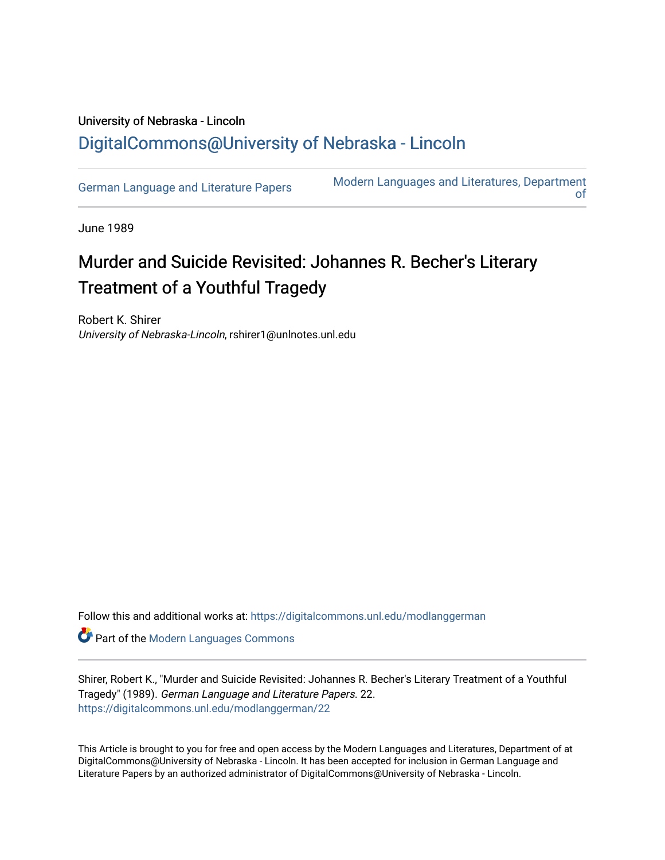## University of Nebraska - Lincoln [DigitalCommons@University of Nebraska - Lincoln](https://digitalcommons.unl.edu/)

[German Language and Literature Papers](https://digitalcommons.unl.edu/modlanggerman) Modern Languages and Literatures, Department [of](https://digitalcommons.unl.edu/modernlanguages) 

June 1989

# Murder and Suicide Revisited: Johannes R. Becher's Literary Treatment of a Youthful Tragedy

Robert K. Shirer University of Nebraska-Lincoln, rshirer1@unlnotes.unl.edu

Follow this and additional works at: [https://digitalcommons.unl.edu/modlanggerman](https://digitalcommons.unl.edu/modlanggerman?utm_source=digitalcommons.unl.edu%2Fmodlanggerman%2F22&utm_medium=PDF&utm_campaign=PDFCoverPages) 

Part of the [Modern Languages Commons](http://network.bepress.com/hgg/discipline/1130?utm_source=digitalcommons.unl.edu%2Fmodlanggerman%2F22&utm_medium=PDF&utm_campaign=PDFCoverPages) 

Shirer, Robert K., "Murder and Suicide Revisited: Johannes R. Becher's Literary Treatment of a Youthful Tragedy" (1989). German Language and Literature Papers. 22. [https://digitalcommons.unl.edu/modlanggerman/22](https://digitalcommons.unl.edu/modlanggerman/22?utm_source=digitalcommons.unl.edu%2Fmodlanggerman%2F22&utm_medium=PDF&utm_campaign=PDFCoverPages)

This Article is brought to you for free and open access by the Modern Languages and Literatures, Department of at DigitalCommons@University of Nebraska - Lincoln. It has been accepted for inclusion in German Language and Literature Papers by an authorized administrator of DigitalCommons@University of Nebraska - Lincoln.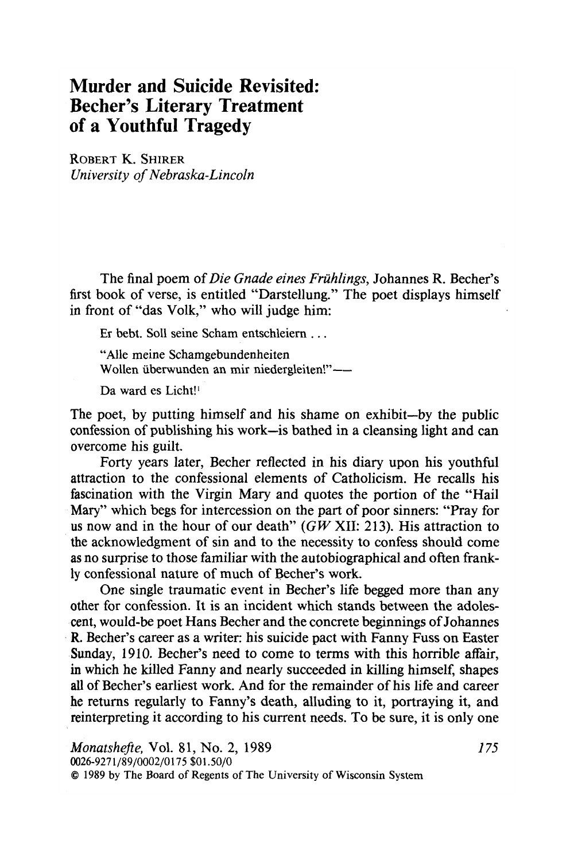### **Murder and Suicide Revisited: Becher's Literary Treatment of a Youthful Tragedy**

ROBERT K. SHIRER University of Nebraska-Lincoln

The final poem of Die Gnade eines Frühlings, Johannes R. Becher's first book of verse, is entitled "Darstellung." The poet displays himself in front of "das Volk," who will judge him:

Er bebt. Sol1 seine Scham entschleiern . . .

"Alle meine Schamgebundenheiten Wollen überwunden an mir niedergleiten!"-

Da ward es Licht!'

The poet, by putting himself and his shame on exhibit-by the public confession of publishing his work-is bathed in a cleansing light and can overcome his guilt.

Forty years later, Becher reflected in his diary upon his youthful attraction to the confessional elements of Catholicism. He recalls his fascination with the Virgin Mary and quotes the portion of the "Hail Mary" which begs for intercession on the part of poor sinners: "Pray for us now and in the hour of our death" ( $GW$  XII: 213). His attraction to the acknowledgment of sin and to the necessity to confess should come as no surprise to those familiar with the autobiographical and often frankly confessional nature of much of Becher's work.

One single traumatic event in Becher's life begged more than any other for confession. It is an incident which stands between the adolescent, would-be poet Hans Becher and the concrete beginnings of Johannes R. Becher's career as a writer: his suicide pact with Fanny Fuss on Easter Sunday, 1910. Becher's need to come to terms with this horrible affair, in which he killed Fanny and nearly succeeded in killing himself, shapes all of Becher's earliest work. And for the remainder of his life and career he returns regularly to Fanny's death, alluding to it, portraying it, and reinterpreting it according to his current needs. To be sure, it is only one

Monatshefte, Vol. 81, No. 2, 1989 *1* **75 0026-927 1/89/0002/0175 \$01.50/0**  O **1989 by The Board of Regents of The University of Wisconsin System**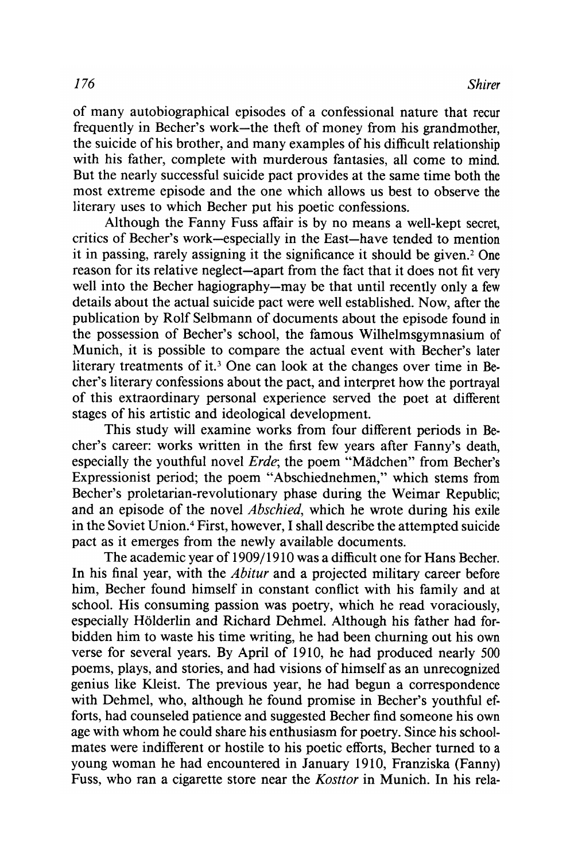of many autobiographical episodes of a confessional nature that recur frequently in Becher's work-the theft of money from his grandmother, the suicide of his brother, and many examples of his difficult relationship with his father, complete with murderous fantasies, all come to mind. But the nearly successful suicide pact provides at the same time both the most extreme episode and the one which allows us best to observe the literary uses to which Becher put his poetic confessions.

Although the Fanny Fuss affair is by no means a well-kept secret, critics of Becher's work-especially in the East-have tended to mention it in passing, rarely assigning it the significance it should be given.2 One reason for its relative neglect-apart from the fact that it does not fit very well into the Becher hagiography-may be that until recently only a few details about the actual suicide pact were well established. Now, after the publication by Rolf Selbmann of documents about the episode found in the possession of Becher's school, the famous Wilhelmsgymnasium of Munich, it is possible to compare the actual event with Becher's later literary treatments of it.<sup>3</sup> One can look at the changes over time in Becher's literary confessions about the pact, and interpret how the portrayal of this extraordinary personal experience served the poet at different stages of his artistic and ideological development.

This study will examine works from four different periods in Becher's career: works written in the first few years after Fanny's death, especially the youthful novel *Erde*; the poem "Mädchen" from Becher's Expressionist period; the poem "Abschiednehmen," which stems from Becher's proletarian-revolutionary phase during the Weimar Republic; and an episode of the novel *Abschied*, which he wrote during his exile in the Soviet Union.<sup>4</sup> First, however, I shall describe the attempted suicide pact as it emerges from the newly available documents.

The academic year of 1909/1910 was a difficult one for Hans Becher. In his final year, with the *Abitur* and a projected military career before him, Becher found himself in constant conflict with his family and at school. His consuming passion was poetry, which he read voraciously, especially Holderlin and Richard Dehmel. Although his father had forbidden him to waste his time writing, he had been churning out his own verse for several years. By April of 1910, he had produced nearly 500 poems, plays, and stories, and had visions of himself as an unrecognized genius like Kleist. The previous year, he had begun a correspondence with Dehmel, who, although he found promise in Becher's youthful efforts, had counseled patience and suggested Becher find someone his own age with whom he could share his enthusiasm for poetry. Since his schoolmates were indifferent or hostile to his poetic efforts, Becher turned to a young woman he had encountered in January 1910, Franziska (Fanny) Fuss, who ran a cigarette store near the Kosttor in Munich. In his rela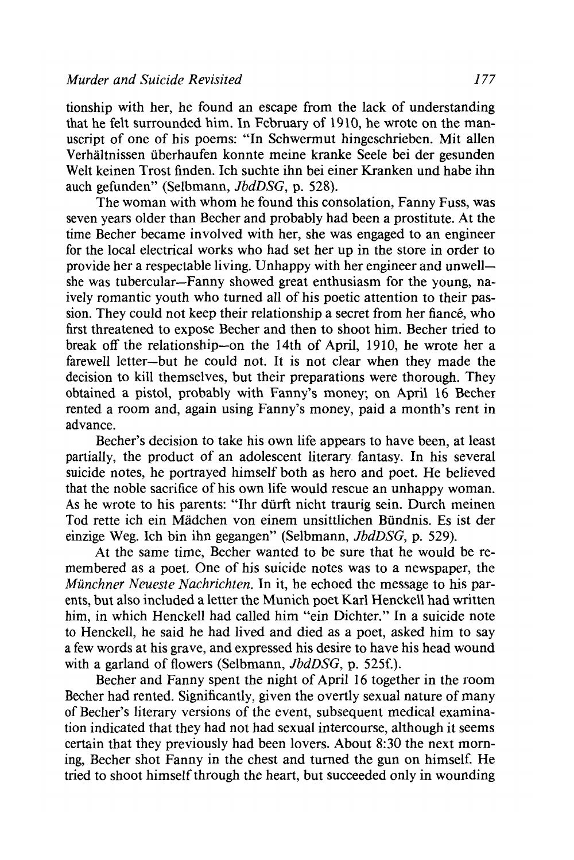tionship with her, he found an escape from the lack of understanding that he felt surrounded him. In February of 1910, he wrote on the manuscript of one of his poems: "In Schwermut hingeschrieben. Mit allen Verhaltnissen iiberhaufen konnte meine kranke Seele bei der gesunden Welt keinen Trost finden. Ich suchte ihn bei einer Kranken und habe ihn auch gefunden" (Selbmann, JbdDSG, p. 528).

The woman with whom he found this consolation, Fanny Fuss, was seven years older than Becher and probably had been a prostitute. **At** the time Becher became involved with her, she was engaged to an engineer for the local electrical works who had set her up in the store in order to provide her a respectable living. Unhappy with her engineer and unwellshe was tubercular-Fanny showed great enthusiasm for the young, naively romantic youth who turned all of his poetic attention to their passion. They could not keep their relationship a secret from her fiance, who first threatened to expose Becher and then to shoot him. Becher tried to break off the relationship-on the 14th of April, 1910, he wrote her a farewell letter-but he could not. It is not clear when they made the decision to kill themselves, but their preparations were thorough. They obtained a pistol, probably with Fanny's money; on April 16 Becher rented a room and, again using Fanny's money, paid a month's rent in advance.

Becher's decision to take his own life appears to have been, at least partially, the product of an adolescent literary fantasy. In his several suicide notes, he portrayed himself both as hero and poet. He believed that the noble sacrifice of his own life would rescue an unhappy woman. As he wrote to his parents: "Ihr diirft nicht traurig sein. Durch meinen Tod rette ich ein Madchen von einem unsittlichen Biindnis. Es ist der einzige Weg. Ich bin ihn gegangen" (Selbmann, JbdDSG, p. 529).

At the same time, Becher wanted to be sure that he would be remembered as a poet. One of his suicide notes was to a newspaper, the Münchner Neueste Nachrichten. In it, he echoed the message to his parents, but also included a letter the Munich poet Karl Henckell had written him, in which Henckell had called him "ein Dichter." In a suicide note to Henckell, he said he had lived and died as a poet, asked him to say a few words at his grave, and expressed his desire to have his head wound with a garland of flowers (Selbmann, *JbdDSG*, p. 525f.).

Becher and Fanny spent the night of April 16 together in the room Becher had rented. Significantly, given the overtly sexual nature of many of Beclier's literary versions of the event, subsequent medical examination indicated that they had not had sexual intercourse, although it seems certain that they previously had been lovers. About **8:30** the next morning, Becher shot Fanny in the chest and turned the gun on himself. He tried to shoot himself through the heart, but succeeded only in wounding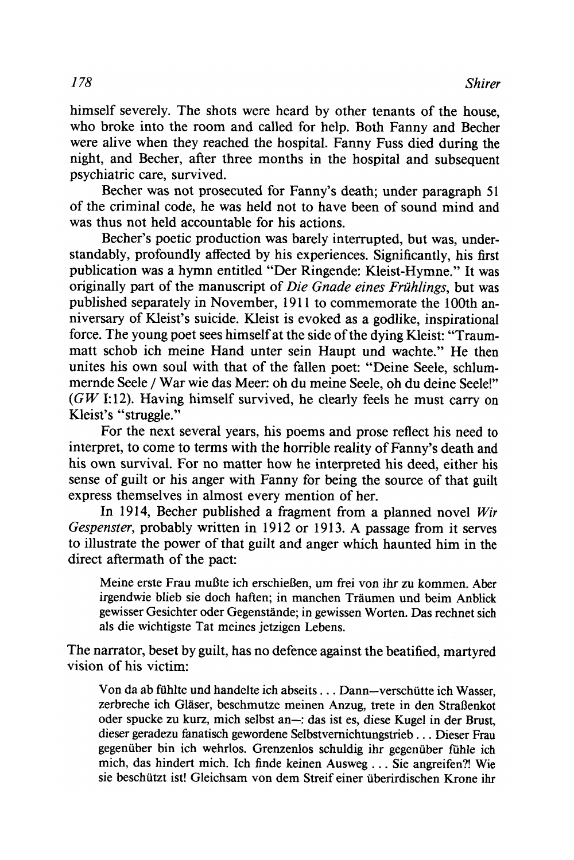himself severely. The shots were heard by other tenants of the house, who broke into the room and called for help. Both Fanny and Becher were alive when they reached the hospital. Fanny Fuss died during the night, and Becher, after three months in the hospital and subsequent psychiatric care, survived.

Becher was not prosecuted for Fanny's death; under paragraph 51 of the criminal code, he was held not to have been of sound mind and was thus not held accountable for his actions.

Becher's poetic production was barely interrupted, but was, understandably, profoundly affected by his experiences. Significantly, his first publication was a hymn entitled "Der Ringende: Kleist-Hymne." It was originally part of the manuscript of *Die Gnade eines Frühlings*, but was published separately in November, 19 1 1 to commemorate the 100th anniversary of Kleist's suicide. Kleist is evoked as a godlike, inspirational force. The young poet sees himself at the side of the dying Kleist: "Traummatt schob ich meine Hand unter sein Haupt und wachte." He then unites his own soul with that of the fallen poet: "Deine Seele, schlummernde Seele / War wie das Meer: oh du meine Seele, oh du deine Seele!"  $(GW I:12)$ . Having himself survived, he clearly feels he must carry on Kleist's "struggle."

For the next several years, his poems and prose reflect his need to interpret, to come to terms with the horrible reality of Fanny's death and his own survival. For no matter how he interpreted his deed, either his sense of guilt or his anger with Fanny for being the source of that guilt express themselves in almost every mention of her.

In 1914, Becher published a fragment from a planned novel Wir Gespenster, probably written in 1912 or 1913. A passage from it serves to illustrate the power of that guilt and anger which haunted him in the direct aftermath of the pact:

Meine erste Frau mußte ich erschießen, um frei von ihr zu kommen. Aber irgendwie blieb sie doch haften; in manchen Traumen und beim Anblick gewisser Gesichter oder Gegenstande; in gewissen Worten. Das rechnet sich als die wichtigste Tat meines jetzigen Lebens.

The narrator, beset by guilt, has no defence against the beatified, martyred vision of his victim:

Von da ab fühlte und handelte ich abseits . . . Dann-verschütte ich Wasser, zerbreche ich Glaser, beschmutze meinen Anzug, trete in den StraBenkot oder spucke zu kurz, mich selbst an-: das ist es, diese Kugel in der Brust, dieser geradezu fanatisch gewordene Selbstvernichtungstrieb . . . Dieser Frau gegenüber bin ich wehrlos. Grenzenlos schuldig ihr gegenüber fühle ich mich, das hindert mich. Ich finde keinen Ausweg . . . Sie angreifen?! Wie sie beschutzt ist! Gleichsam von dem Streif einer uberirdischen Krone ihr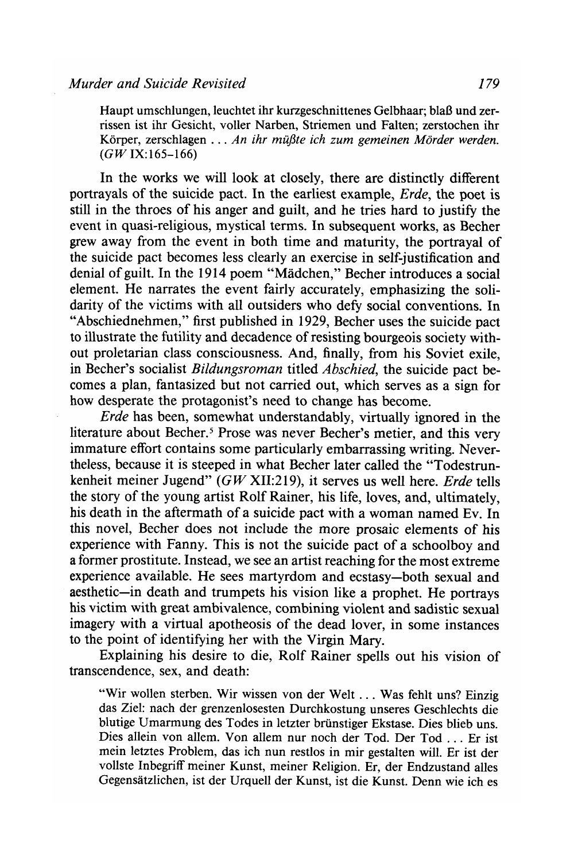Haupt umschlungen, leuchtet ihr kurzgeschnittenes Gelbhaar; blaß und zerrissen ist ihr Gesicht, voller Narben, Striemen und Falten; zerstochen ihr Körper, zerschlagen . . . *An ihr müßte ich zum gemeinen Mörder werden. (GW* IX:165-166)

In the works we will look at closely, there are distinctly different portrayals of the suicide pact. In the earliest example, *Erde,* the poet is still in the throes of his anger and guilt, and he tries hard to justify the event in quasi-religious, mystical terms. In subsequent works, as Becher grew away from the event in both time and maturity, the portrayal of the suicide pact becomes less clearly an exercise in self-justification and denial of guilt. In the 1914 poem "Madchen," Becher introduces a social element. He narrates the event fairly accurately, emphasizing the solidarity of the victims with all outsiders who defy social conventions. In "Abschiednehmen," first published in 1929, Becher uses the suicide pact to illustrate the futility and decadence of resisting bourgeois society without proletarian class consciousness. And, finally, from his Soviet exile, in Becher's socialist Bildungsroman titled Abschied, the suicide pact becomes a plan, fantasized but not carried out, which serves as a sign for how desperate the protagonist's need to change has become.

*Erde* has been, somewhat understandably, virtually ignored in the literature about Becher.<sup>5</sup> Prose was never Becher's metier, and this very immature effort contains some particularly embarrassing writing. Nevertheless, because it is steeped in what Becher later called the "Todestrunkenheit meiner Jugend" ( $GW$  XII:219), it serves us well here. *Erde* tells the story of the young artist Rolf Rainer, his life, loves, and, ultimately, his death in the aftermath of a suicide pact with a woman named Ev. In this novel, Becher does not include the more prosaic elements of his experience with Fanny. This is not the suicide pact of a schoolboy and a former prostitute. Instead, we see an artist reaching for the most extreme experience available. He sees martyrdom and ecstasy-both sexual and aesthetic-in death and trumpets his vision like a prophet. He portrays his victim with great ambivalence, combining violent and sadistic sexual imagery with a virtual apotheosis of the dead lover, in some instances to the point of identifying her with the Virgin Mary.

Explaining his desire to die, Rolf Rainer spells out his vision of transcendence, sex, and death:

"Wir wollen sterben. Wir wissen von der Welt . . . Was fehlt uns? Einzig das Ziel: nach der grenzenlosesten Durchkostung unseres Geschlechts die blutige Umarmung des Todes in letzter briinstiger Ekstase. Dies blieb uns. Dies allein von allem. Von allem nur noch der Tod. Der Tod . . . Er ist mein letztes Problem, das ich nun restlos in mir gestalten will. Er ist der vollste Inbegriff meiner Kunst, meiner Religion. Er, der Endzustand alles Gegensatzlichen, ist der Urquell der Kunst, ist die Kunst. Denn wie ich es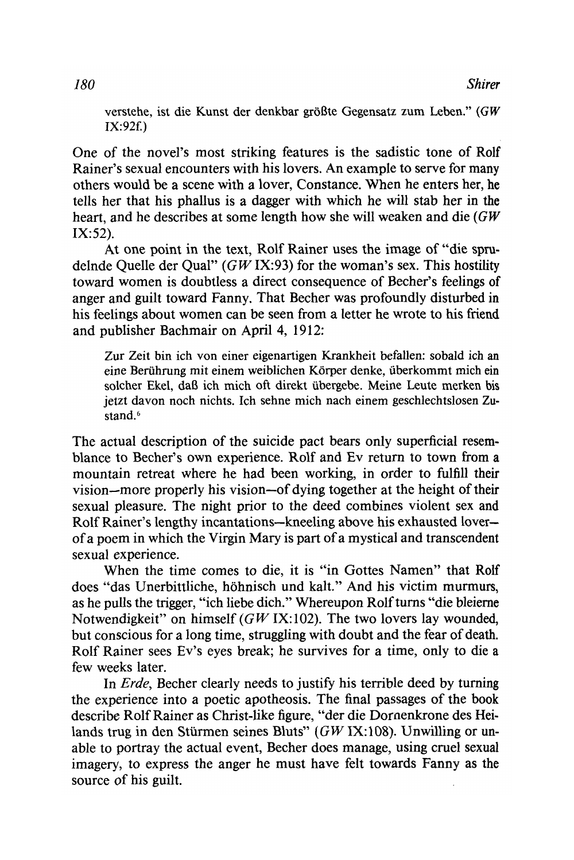verstehe, ist die Kunst der denkbar grol3te Gegensatz zum **Leben."** (GW  $IX:92f.$ 

One of the novel's most striking features is the sadistic tone of Rolf Rainer's sexual encounters with his lovers. An example to serve for many others would be a scene with a lover, Constance. When he enters her, he tells her that his phallus is a dagger with which he will stab her in the heart, and he describes at some length how she will weaken and die (GW  $IX:52$ ).

**At** one point in the text, Rolf Rainer uses the image of "die spndelnde Quelle der Qual"  $(GWIX:93)$  for the woman's sex. This hostility toward women is doubtless a direct consequence of Becher's feelings of anger and guilt toward Fanny. That Becher was profoundly disturbed in his feelings about women can be seen from a letter he wrote to his friend and publisher Bachmair on April 4, 1912:

Zur Zeit bin ich von einer eigenartigen Krankheit befallen: sobald ich an eine Berührung mit einem weiblichen Körper denke, überkommt mich ein solcher Ekel, dal3 ich mich oft direkt ubergebe. Meine Leute **merken** bis jetzt davon noch nichts. Ich sehne mich nach einem geschlechtslosen **Zu**stand.<sup>6</sup>

The actual description of the suicide pact bears only superficial resemblance to Becher's own experience. Rolf and Ev return to town from a mountain retreat where he had been working, in order to fulfill their vision-more properly his vision-of dying together at the height of their sexual pleasure. The night prior to the deed combines violent sex and Rolf Rainer's lengthy incantations-kneeling above his exhausted loverof a poem in which the Virgin Mary is part of a mystical and transcendent sexual experience.

When the time comes to die, it is "in Gottes Namen" that Rolf does "das Unerbittliche, hohnisch und kalt." And his victim murmurs, as he pulls the trigger, "ich liebe dich." Whereupon Rolf turns "die bleierne Notwendigkeit" on himself ( $GW$  IX:102). The two lovers lay wounded, but conscious for a long time, struggling with doubt and the fear of death. Rolf Rainer sees Ev's eyes break; he survives for a time, only to die a few weeks later.

In *Erde,* Becher clearly needs to justify his terrible deed by turning the experience into a poetic apotheosis. The final passages of the book describe Rolf Rainer as Christ-like figure, "der die Dornenkrone des Heilands trug in den Stürmen seines Bluts" (GW IX:108). Unwilling or unable to portray the actual event, Becher does manage, using cruel sexual imagery, to express the anger he must have felt towards Fanny as the source of his guilt.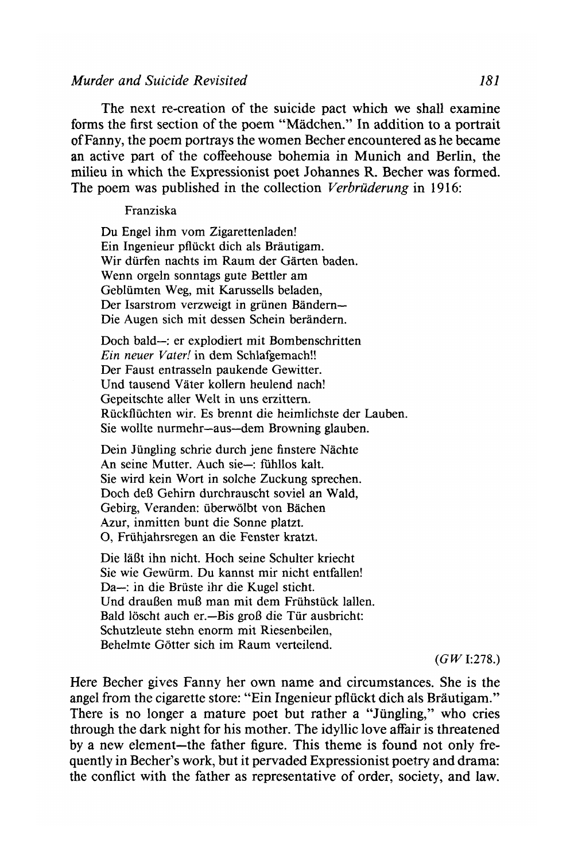#### *Murder and Suicide Revisited 181*

The next re-creation of the suicide pact which we shall examine forms the first section of the poem "Madchen." In addition to a portrait of Fanny, the poem portrays the women Becher encountered as he became an active part of the coffeehouse bohemia in Munich and Berlin, the milieu in which the Expressionist poet Johannes R. Becher was formed. The poem was published in the collection *Verbrüderung* in 1916:

#### Franziska

Du Engel ihm vom Zigarettenladen! Ein Ingenieur pfluckt dich als Brautigam. Wir durfen nachts im Raum der Garten baden. Wenn orgeln sonntags gute Bettler am Geblumten Weg, mit Karussells beladen, Der Isarstrom verzweigt in grünen Bändern-Die Augen sich mit dessen Schein berandern.

Doch bald-: er explodiert mit Bombenschritten *Ein neuer Vater!* in dem Schlafgemach!! Der Faust entrasseln paukende Gewitter. Und tausend Vater kollern heulend nach! Gepeitschte aller Welt in uns erzittern. Ruckfluchten wir. Es brennt die heimlichste der Lauben. Sie wollte nurmehr-aus-dem Browning glauben.

Dein Jüngling schrie durch jene finstere Nächte An seine Mutter. Auch sie-: fühllos kalt. Sie wird kein Wort in solche Zuckung sprechen. Doch deB Gehirn durchrauscht soviel an Wald, Gebirg, Veranden: uberwolbt von Bachen Azur, inmitten bunt die Sonne platzt. 0, Friihjahrsregen an die Fenster kratzt.

Die 1aBt ihn nicht. Hoch seine Schulter kriecht Sie wie Gewiirm. Du kannst mir nicht entfallen! Da-: in die Brüste ihr die Kugel sticht. Und draußen muß man mit dem Frühstück lallen. Bald löscht auch er.-Bis groß die Tür ausbricht: Schutzleute stehn enorrn mit Riesenbeilen, Behelmte Gotter sich im Raum verteilend.

 $(GW$  **I:278.**)

Here Becher gives Fanny her own name and circumstances. She is the angel from the cigarette store: "Ein Ingenieur pflückt dich als Bräutigam." There is no longer a mature poet but rather a "Jüngling," who cries through the dark night for his mother. The idyllic love affair is threatened by a new element-the father figure. This theme is found not only frequently in Becher's work, but it pervaded Expressionist poetry and drama: the conflict with the father as representative of order, society, and law.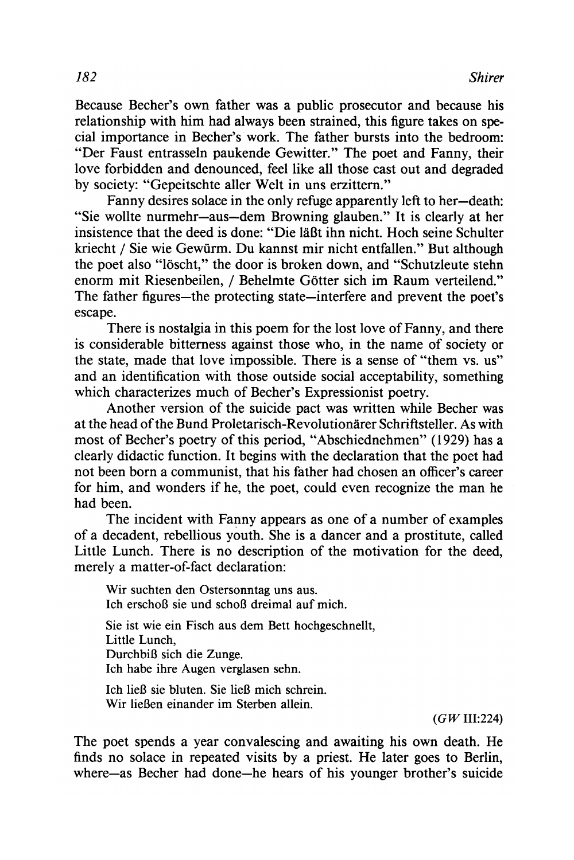Because Becher's own father was a public prosecutor and because his relationship with him had always been strained, this figure takes on special importance in Becher's work. The father bursts into the bedroom: "Der Faust entrasseln paukende Gewitter." The poet and Fanny, their love forbidden and denounced, feel like all those cast out and degraded by society: "Gepeitschte aller Welt in uns erzittern."

Fanny desires solace in the only refuge apparently left to her-death: "Sie wollte nurrnehr-aus-dem Browning glauben." It is clearly at her insistence that the deed is done: "Die läßt ihn nicht. Hoch seine Schulter kriecht / Sie wie Gewiirm. Du kannst mir nicht entfallen." But although the poet also "löscht," the door is broken down, and "Schutzleute stehn enorm mit Riesenbeilen, / Behelmte Gotter sich im Raum verteilend." The father figures—the protecting state—interfere and prevent the poet's escape.

There is nostalgia in this poem for the lost love of Fanny, and there is considerable bitterness against those who, in the name of society or the state, made that love impossible. There is a sense of "them vs. us" and an identification with those outside social acceptability, something which characterizes much of Becher's Expressionist poetry.

Another version of the suicide pact was written while Becher was at the head of the Bund Proletarisch-Revolutionarer Schriftsteller. As with most of Becher's poetry of this period, "Abschiednehmen" (1929) has a clearly didactic function. It begins with the declaration that the poet had not been born a communist, that his father had chosen an officer's career for him, and wonders if he, the poet, could even recognize the man he had been.

The incident with Fanny appears as one of a number of examples of a decadent, rebellious youth. She is a dancer and a prostitute, called Little Lunch. There is no description of the motivation for the deed, merely a matter-of-fact declaration:

Wir suchten den Ostersonntag uns aus. Ich erschoß sie und schoß dreimal auf mich.

Sie ist wie ein Fisch aus dem Bett hochgeschnellt, Little Lunch, Durchbiß sich die Zunge. Ich habe ihre Augen verglasen sehn.

Ich ließ sie bluten. Sie ließ mich schrein. Wir lieBen einander im Sterben allein.

 $(GW \, \text{III}:224)$ 

The poet spends a year convalescing and awaiting his own death. He finds no solace in repeated visits by a priest. He later goes to Berlin, where-as Becher had done-he hears of his younger brother's suicide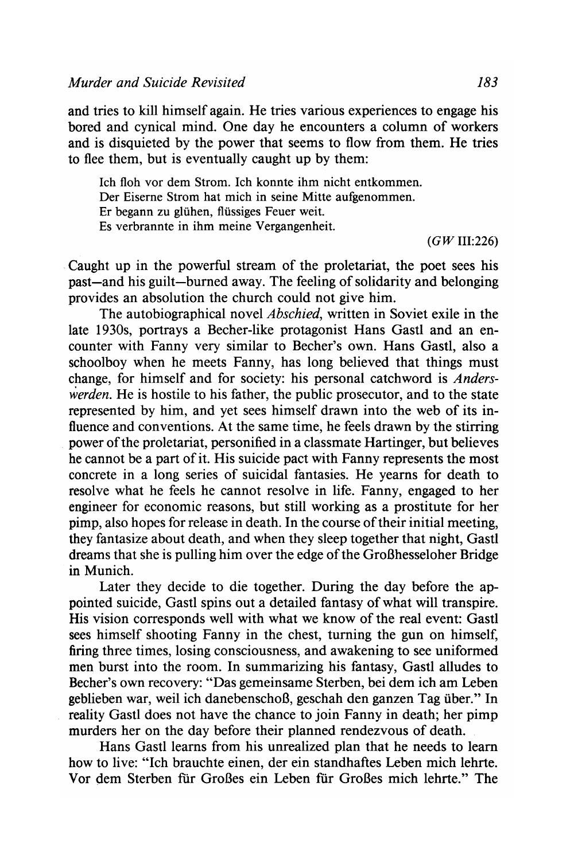and tries to kill himself again. He tries various experiences to engage his bored and cynical mind. One day he encounters a column of workers and is disquieted by the power that seems to flow from them. He tries to flee them, but is eventually caught up by them:

Ich floh vor dem Strom. Ich konnte ihm nicht entkommen. Der Eiserne Strom hat mich in seine Mitte aufgenommen. Er begann zu gliihen, fliissiges Feuer weit. Es verbrannte in ihm meine Vergangenheit.

 $(GW III:226)$ 

Caught up in the powerful stream of the proletariat, the poet sees his past-and his guilt-burned away. The feeling of solidarity and belonging provides an absolution the church could not give him.

The autobiographical novel Abschied, written in Soviet exile in the late 1930s, portrays a Becher-like protagonist Hans Gastl and an encounter with Fanny very similar to Becher's own. Hans Gastl, also a schoolboy when he meets Fanny, has long believed that things must change, for himself and for society: his personal catchword is Anderswerden. He is hostile to his father, the public prosecutor, and to the state represented by him, and yet sees himself drawn into the web of its influence and conventions. At the same time, he feels drawn by the stirring power of the proletariat, personified in a classmate Hartinger, but believes he cannot be a part of it. His suicide pact with Fanny represents the most concrete in a long series of suicidal fantasies. He yearns for death to resolve what he feels he cannot resolve in life. Fanny, engaged to her engineer for economic reasons, but still working as a prostitute for her pimp, also hopes for release in death. In the course of their initial meeting, they fantasize about death, and when they sleep together that night, Gastl dreams that she is pulling him over the edge of the GroBhesseloher Bridge in Munich.

Later they decide to die together. During the day before the appointed suicide, Gastl spins out a detailed fantasy of what will transpire. His vision corresponds well with what we know of the real event: Gastl sees himself shooting Fanny in the chest, turning the gun on himself, firing three times, losing consciousness, and awakening to see uniformed men burst into the room. In summarizing his fantasy, Gastl alludes to Becher's own recovery: "Das gemeinsame Sterben, bei dem ich am Leben geblieben war, weil ich danebenschoß, geschah den ganzen Tag über." In reality Gastl does not have the chance to join Fanny in death; her pimp murders her on the day before their planned rendezvous of death.

Hans Gastl learns from his unrealized plan that he needs to learn how to live: "Ich brauchte einen, der ein standhaftes Leben mich lehrte. Vor dem Sterben für Großes ein Leben für Großes mich lehrte." The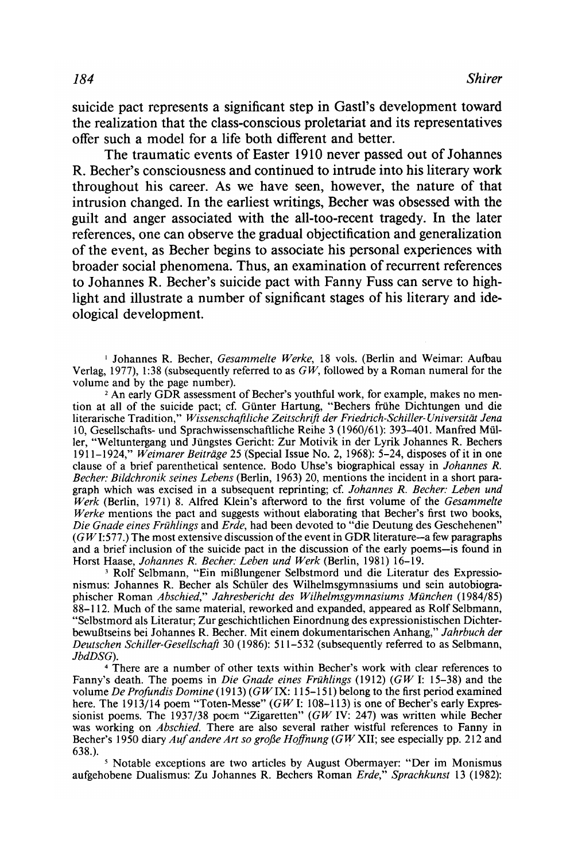suicide pact represents a significant step in Gastl's development toward the realization that the class-conscious proletariat and its representatives offer such a model for a life both different and better.

The traumatic events of Easter 1910 never passed out of Johannes R. Becher's consciousness and continued to intrude into his literary work throughout his career. As we have seen, however, the nature of that intrusion changed. In the earliest writings, Becher was obsessed with the guilt and anger associated with the all-too-recent tragedy. In the later references, one can observe the gradual objectification and generalization of the event, as Becher begins to associate his personal experiences with broader social phenomena. Thus, an examination of recurrent references to Johannes R. Becher's suicide pact with Fanny Fuss can serve to highlight and illustrate a number of significant stages of his literary and ideological development.

<sup>1</sup> Johannes R. Becher, Gesammelte Werke, 18 vols. (Berlin and Weimar: Aufbau Verlag, 1977), 1:38 (subsequently referred to as  $GW$ , followed by a Roman numeral for the volume and by the page number).

<sup>2</sup> An early GDR assessment of Becher's youthful work, for example, makes no mention at all of the suicide pact; cf. Gunter Hartung, "Bechers friihe Dichtungen und die literarische Tradition," Wissenschaftliche Zeitschrift der Friedrich-Schiller-Universität Jena 10, Gesellschafts- und Sprachwissenschaftliche Reihe 3 (1960/61): 393-401. Manfred Müller, "Weltuntergang und Jüngstes Gericht: Zur Motivik in der Lyrik Johannes R. Bechers 1911–1924," Weimarer Beiträge 25 (Special Issue No. 2, 1968):  $5-24$ , disposes of it in one clause of a brief parenthetical sentence. Bodo Uhse's biographical essay in Johannes R. Becher: Bildchronik seines Lebens (Berlin, 1963) 20, mentions the incident in a short paragraph which was excised in a subsequent reprinting; cf. Johannes R. Becher: Leben und Werk (Berlin, 1971) 8. Alfred Klein's afterword to the first volume of the Gesammelte Werke mentions the pact and suggests without elaborating that Becher's first two books, Die Gnade eines Frühlings and Erde, had been devoted to "die Deutung des Geschehenen"  $(GW1:577.)$  The most extensive discussion of the event in GDR literature-a few paragraphs and a brief inclusion of the suicide pact in the discussion of the early poems-is found in Horst Haase, Johannes R. Becher: Leben und Werk (Berlin, 1981) 16-19.

<sup>3</sup> Rolf Selbmann, "Ein mißlungener Selbstmord und die Literatur des Expressionismus: Johannes R. Becher als Schuler des Wilhelmsgymnasiums und sein autobiographischer Roman Abschied," Jahresbericht des Wilhelmsgymnasiums München (1984/85) 88-112. Much of the same material, reworked and expanded, appeared as Rolf Selbmann, "Selbstmord als Literatur; Zur geschichtlichen Einordnung des expressionistischen Dichterbewul3tseins bei Johannes R. Becher. Mit einem dokumentarischen Anhang," Jahrbuch der Deutschen Schiller-Gesellschaft 30 (1986): 511-532 (subsequently referred to as Selbmann, JbdDSG).

There are a number of other texts within Becher's work with clear references to Fanny's death. The poems in *Die Gnade eines Frühlings* (1912) ( $GW$  I: 15–38) and the volume De Profundis Domine (1913) (GW IX: 115-151) belong to the first period examined here. The 1913/14 poem "Toten-Messe" ( $GW$  I: 108-113) is one of Becher's early Expressionist poems. The 1937/38 poem "Zigaretten" (GW IV: 247) was written while Becher was working on *Abschied*. There are also several rather wistful references to Fanny in Becher's 1950 diary *Auf andere Art so große Hoffnung* (GW XII; see especially pp. 212 and 638.).

<sup>5</sup> Notable exceptions are two articles by August Obermayer: "Der im Monismus aufgehobene Dualismus: Zu Johannes R. Bechers Roman Erde," Sprachkunst 13 (1982):